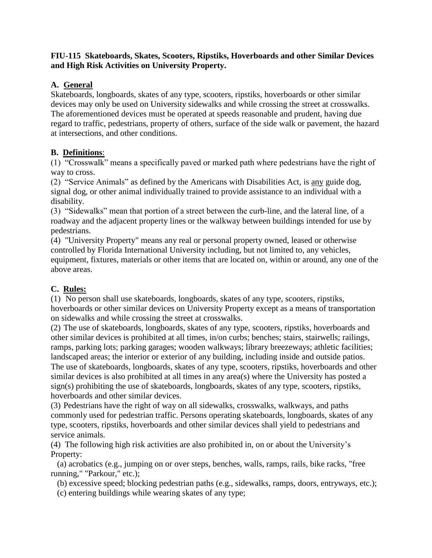### **FIU-115 Skateboards, Skates, Scooters, Ripstiks, Hoverboards and other Similar Devices and High Risk Activities on University Property.**

### **A. General**

Skateboards, longboards, skates of any type, scooters, ripstiks, hoverboards or other similar devices may only be used on University sidewalks and while crossing the street at crosswalks. The aforementioned devices must be operated at speeds reasonable and prudent, having due regard to traffic, pedestrians, property of others, surface of the side walk or pavement, the hazard at intersections, and other conditions.

## **B. Definitions**:

(1) "Crosswalk" means a specifically paved or marked path where pedestrians have the right of way to cross.

(2) "Service Animals" as defined by the Americans with Disabilities Act, is any guide dog, signal dog, or other animal individually trained to provide assistance to an individual with a disability.

(3) "Sidewalks" mean that portion of a street between the curb-line, and the lateral line, of a roadway and the adjacent property lines or the walkway between buildings intended for use by pedestrians.

(4) "University Property" means any real or personal property owned, leased or otherwise controlled by Florida International University including, but not limited to, any vehicles, equipment, fixtures, materials or other items that are located on, within or around, any one of the above areas.

# **C. Rules:**

(1) No person shall use skateboards, longboards, skates of any type, scooters, ripstiks, hoverboards or other similar devices on University Property except as a means of transportation on sidewalks and while crossing the street at crosswalks.

(2) The use of skateboards, longboards, skates of any type, scooters, ripstiks, hoverboards and other similar devices is prohibited at all times, in/on curbs; benches; stairs, stairwells; railings, ramps, parking lots; parking garages; wooden walkways; library breezeways; athletic facilities; landscaped areas; the interior or exterior of any building, including inside and outside patios. The use of skateboards, longboards, skates of any type, scooters, ripstiks, hoverboards and other similar devices is also prohibited at all times in any area(s) where the University has posted a sign(s) prohibiting the use of skateboards, longboards, skates of any type, scooters, ripstiks, hoverboards and other similar devices.

(3) Pedestrians have the right of way on all sidewalks, crosswalks, walkways, and paths commonly used for pedestrian traffic. Persons operating skateboards, longboards, skates of any type, scooters, ripstiks, hoverboards and other similar devices shall yield to pedestrians and service animals.

(4) The following high risk activities are also prohibited in, on or about the University's Property:

 (a) acrobatics (e.g., jumping on or over steps, benches, walls, ramps, rails, bike racks, "free running," "Parkour," etc.);

(b) excessive speed; blocking pedestrian paths (e.g., sidewalks, ramps, doors, entryways, etc.);

(c) entering buildings while wearing skates of any type;